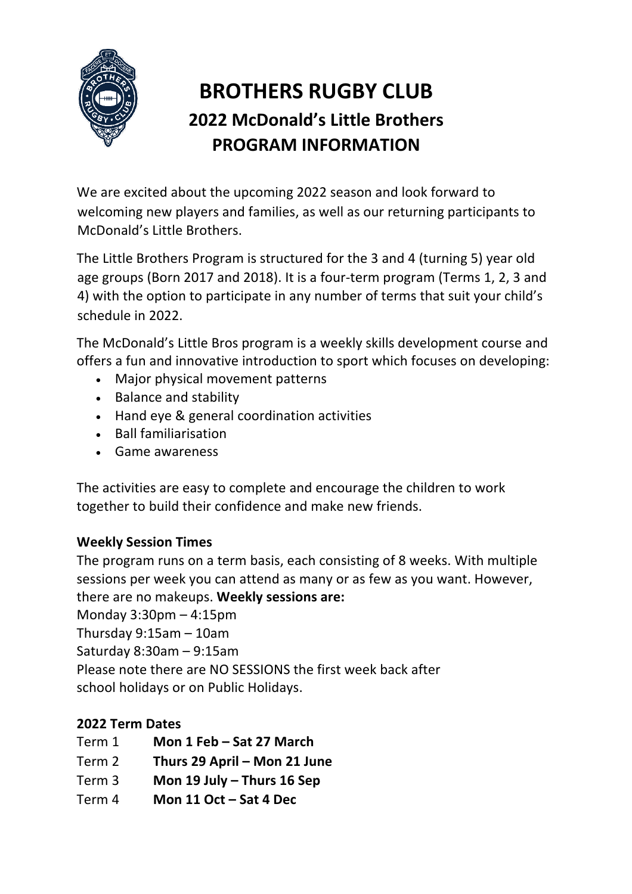

# **BROTHERS RUGBY CLUB 2022 McDonald's Little Brothers PROGRAM INFORMATION**

We are excited about the upcoming 2022 season and look forward to welcoming new players and families, as well as our returning participants to McDonald's Little Brothers.

The Little Brothers Program is structured for the 3 and 4 (turning 5) year old age groups (Born 2017 and 2018). It is a four-term program (Terms 1, 2, 3 and 4) with the option to participate in any number of terms that suit your child's schedule in 2022.

The McDonald's Little Bros program is a weekly skills development course and offers a fun and innovative introduction to sport which focuses on developing:

- Major physical movement patterns
- Balance and stability
- Hand eye & general coordination activities
- Ball familiarisation
- Game awareness

The activities are easy to complete and encourage the children to work together to build their confidence and make new friends.

### **Weekly Session Times**

The program runs on a term basis, each consisting of 8 weeks. With multiple sessions per week you can attend as many or as few as you want. However, there are no makeups. **Weekly sessions are:**

Monday 3:30pm – 4:15pm

Thursday 9:15am – 10am

Saturday 8:30am – 9:15am

Please note there are NO SESSIONS the first week back after

school holidays or on Public Holidays.

## **2022 Term Dates**

- Term 1 **Mon 1 Feb – Sat 27 March**
- Term 2 **Thurs 29 April – Mon 21 June**
- Term 3 **Mon 19 July – Thurs 16 Sep**
- Term 4 **Mon 11 Oct – Sat 4 Dec**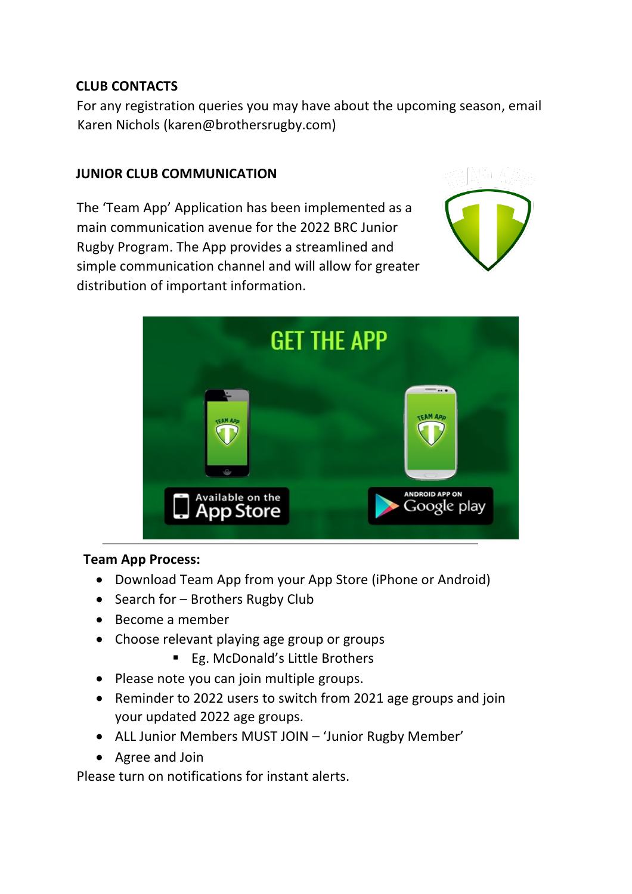### **CLUB CONTACTS**

For any registration queries you may have about the upcoming season, email Karen Nichols (karen@brothersrugby.com)

### **JUNIOR CLUB COMMUNICATION**

The 'Team App' Application has been implemented as a main communication avenue for the 2022 BRC Junior Rugby Program. The App provides a streamlined and simple communication channel and will allow for greater distribution of important information.





#### **Team App Process:**

- Download Team App from your App Store (iPhone or Android)
- Search for Brothers Rugby Club
- Become a member
- Choose relevant playing age group or groups
	- Eg. McDonald's Little Brothers
- Please note you can join multiple groups.
- Reminder to 2022 users to switch from 2021 age groups and join your updated 2022 age groups.
- ALL Junior Members MUST JOIN 'Junior Rugby Member'
- Agree and Join

Please turn on notifications for instant alerts.